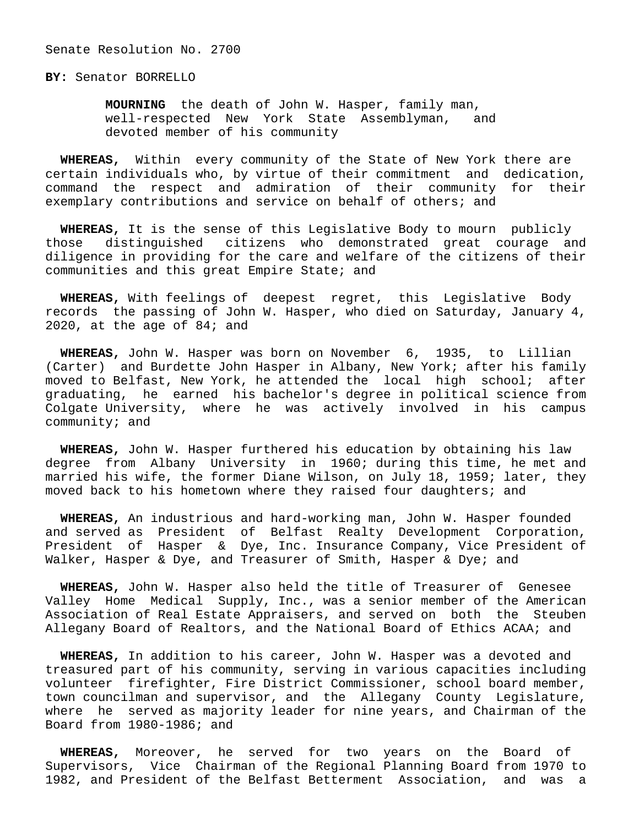Senate Resolution No. 2700

**BY:** Senator BORRELLO

 **MOURNING** the death of John W. Hasper, family man, well-respected New York State Assemblyman, and devoted member of his community

 **WHEREAS,** Within every community of the State of New York there are certain individuals who, by virtue of their commitment and dedication, command the respect and admiration of their community for their exemplary contributions and service on behalf of others; and

 **WHEREAS,** It is the sense of this Legislative Body to mourn publicly those distinguished citizens who demonstrated great courage and diligence in providing for the care and welfare of the citizens of their communities and this great Empire State; and

 **WHEREAS,** With feelings of deepest regret, this Legislative Body records the passing of John W. Hasper, who died on Saturday, January 4, 2020, at the age of 84; and

 **WHEREAS,** John W. Hasper was born on November 6, 1935, to Lillian (Carter) and Burdette John Hasper in Albany, New York; after his family moved to Belfast, New York, he attended the local high school; after graduating, he earned his bachelor's degree in political science from Colgate University, where he was actively involved in his campus community; and

 **WHEREAS,** John W. Hasper furthered his education by obtaining his law degree from Albany University in 1960; during this time, he met and married his wife, the former Diane Wilson, on July 18, 1959; later, they moved back to his hometown where they raised four daughters; and

 **WHEREAS,** An industrious and hard-working man, John W. Hasper founded and served as President of Belfast Realty Development Corporation, President of Hasper & Dye, Inc. Insurance Company, Vice President of Walker, Hasper & Dye, and Treasurer of Smith, Hasper & Dye; and

 **WHEREAS,** John W. Hasper also held the title of Treasurer of Genesee Valley Home Medical Supply, Inc., was a senior member of the American Association of Real Estate Appraisers, and served on both the Steuben Allegany Board of Realtors, and the National Board of Ethics ACAA; and

 **WHEREAS,** In addition to his career, John W. Hasper was a devoted and treasured part of his community, serving in various capacities including volunteer firefighter, Fire District Commissioner, school board member, town councilman and supervisor, and the Allegany County Legislature, where he served as majority leader for nine years, and Chairman of the Board from 1980-1986; and

 **WHEREAS,** Moreover, he served for two years on the Board of Supervisors, Vice Chairman of the Regional Planning Board from 1970 to 1982, and President of the Belfast Betterment Association, and was a